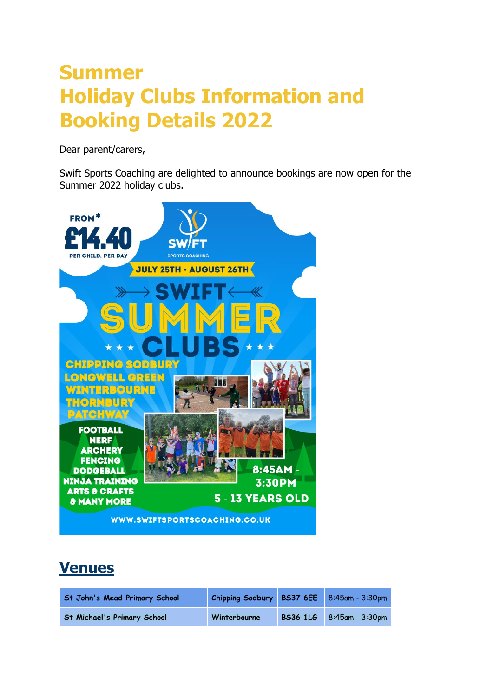# **Summer Holiday Clubs Information and Booking Details 2022**

Dear parent/carers,

Swift Sports Coaching are delighted to announce bookings are now open for the Summer 2022 holiday clubs.



## **Venues**

| <b>St John's Mead Primary School</b> | Chipping Sodbury BS37 6EE |                 | $8:45$ am - 3:30pm |
|--------------------------------------|---------------------------|-----------------|--------------------|
| <b>St Michael's Primary School</b>   | Winterbourne              | <b>BS36 1LG</b> | 8:45am - 3:30pm    |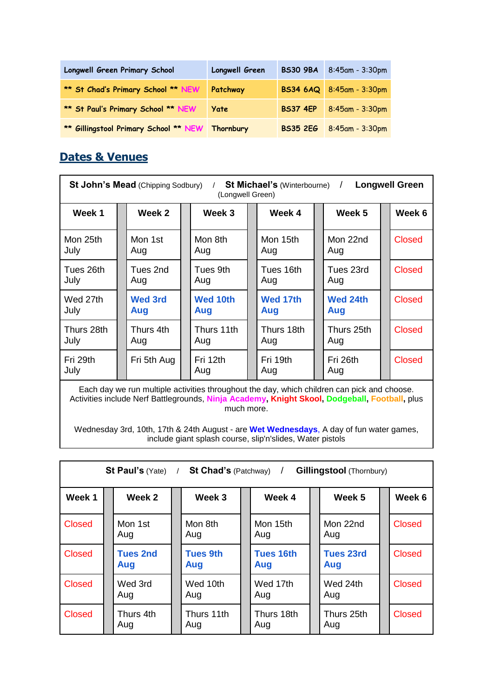| Longwell Green Primary School                     | Longwell Green | <b>BS30 9BA</b> | 8:45am - 3:30pm          |
|---------------------------------------------------|----------------|-----------------|--------------------------|
| ** St Chad's Primary School ** NEW                | Patchway       |                 | BS34 6AQ 8:45am - 3:30pm |
| ** St Paul's Primary School ** NEW                | Yate           | <b>BS37 4EP</b> | 8:45am - 3:30pm          |
| ** Gillingstool Primary School ** NEW   Thornbury |                | <b>BS35 2EG</b> | $8:45$ am - 3:30pm       |

### **Dates & Venues**

| St John's Mead (Chipping Sodbury)<br><b>St Michael's (Winterbourne) /</b><br><b>Longwell Green</b><br>(Longwell Green) |  |                       |  |                        |  |                   |  |                   |  |               |
|------------------------------------------------------------------------------------------------------------------------|--|-----------------------|--|------------------------|--|-------------------|--|-------------------|--|---------------|
| Week 1                                                                                                                 |  | Week 2                |  | Week 3                 |  | Week 4            |  | Week 5            |  | Week 6        |
| Mon 25th<br>July                                                                                                       |  | Mon 1st<br>Aug        |  | Mon 8th<br>Aug         |  | Mon 15th<br>Aug   |  | Mon 22nd<br>Aug   |  | <b>Closed</b> |
| Tues 26th<br>July                                                                                                      |  | Tues 2nd<br>Aug       |  | Tues 9th<br>Aug        |  | Tues 16th<br>Aug  |  | Tues 23rd<br>Aug  |  | <b>Closed</b> |
| Wed 27th<br>July                                                                                                       |  | <b>Wed 3rd</b><br>Aug |  | <b>Wed 10th</b><br>Aug |  | Wed 17th<br>Aug   |  | Wed 24th<br>Aug   |  | <b>Closed</b> |
| Thurs 28th<br>July                                                                                                     |  | Thurs 4th<br>Aug      |  | Thurs 11th<br>Aug      |  | Thurs 18th<br>Aug |  | Thurs 25th<br>Aug |  | <b>Closed</b> |
| Fri 29th<br>July                                                                                                       |  | Fri 5th Aug           |  | Fri 12th<br>Aug        |  | Fri 19th<br>Aug   |  | Fri 26th<br>Aug   |  | Closed        |

Each day we run multiple activities throughout the day, which children can pick and choose. Activities include Nerf Battlegrounds, **Ninja Academy, Knight Skool, Dodgeball, Football,** plus much more.

Wednesday 3rd, 10th, 17th & 24th August - are **Wet Wednesdays**, A day of fun water games, include giant splash course, slip'n'slides, Water pistols

| St Paul's $(Yate)$ /<br><b>St Chad's (Patchway)</b><br><b>Gillingstool</b> (Thornbury) |  |                        |  |                        |  |                         |  |                         |  |               |  |
|----------------------------------------------------------------------------------------|--|------------------------|--|------------------------|--|-------------------------|--|-------------------------|--|---------------|--|
| Week 1                                                                                 |  | Week 2                 |  | Week 3                 |  | Week 4                  |  | Week 5                  |  | Week 6        |  |
| Closed                                                                                 |  | Mon 1st<br>Aug         |  | Mon 8th<br>Aug         |  | Mon 15th<br>Aug         |  | Mon 22nd<br>Aug         |  | <b>Closed</b> |  |
| Closed                                                                                 |  | <b>Tues 2nd</b><br>Aug |  | <b>Tues 9th</b><br>Aug |  | <b>Tues 16th</b><br>Aug |  | <b>Tues 23rd</b><br>Aug |  | <b>Closed</b> |  |
| <b>Closed</b>                                                                          |  | Wed 3rd<br>Aug         |  | Wed 10th<br>Aug        |  | Wed 17th<br>Aug         |  | Wed 24th<br>Aug         |  | <b>Closed</b> |  |
| Closed                                                                                 |  | Thurs 4th<br>Aug       |  | Thurs 11th<br>Aug      |  | Thurs 18th<br>Aug       |  | Thurs 25th<br>Aug       |  | <b>Closed</b> |  |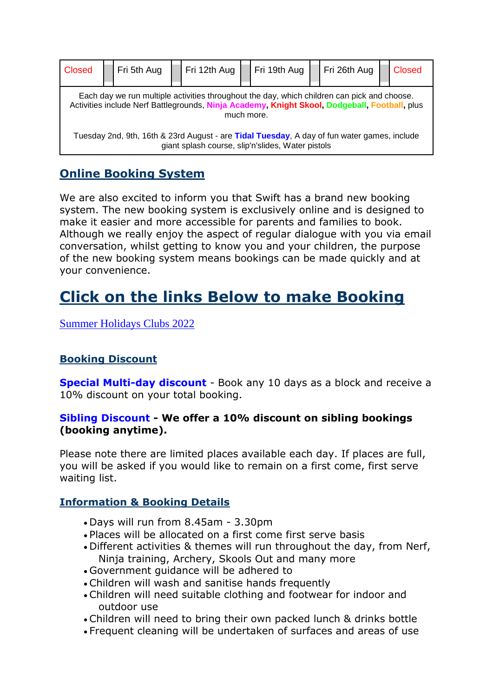| Closed                                                                                                                                                                                                     |  | Fri 5th Aug |  | Fri 12th Aug |  | Fri 19th Aug |  | Fri 26th Aug |  | <b>Closed</b> |
|------------------------------------------------------------------------------------------------------------------------------------------------------------------------------------------------------------|--|-------------|--|--------------|--|--------------|--|--------------|--|---------------|
| Each day we run multiple activities throughout the day, which children can pick and choose.<br>Activities include Nerf Battlegrounds, Ninja Academy, Knight Skool, Dodgeball, Football, plus<br>much more. |  |             |  |              |  |              |  |              |  |               |
| Tuesday 2nd, 9th, 16th & 23rd August - are Tidal Tuesday, A day of fun water games, include<br>giant splash course, slip'n'slides, Water pistols                                                           |  |             |  |              |  |              |  |              |  |               |

### **Online Booking System**

We are also excited to inform you that Swift has a brand new booking system. The new booking system is exclusively online and is designed to make it easier and more accessible for parents and families to book. Although we really enjoy the aspect of regular dialogue with you via email conversation, whilst getting to know you and your children, the purpose of the new booking system means bookings can be made quickly and at your convenience.

# **Click on the links Below to make Booking**

[Summer Holidays Clubs 2022](https://bookwhen.com/swiftsportscoaching-holidayclubs#focus=ev-si2w-20220725084500)

#### **Booking Discount**

**Special Multi-day discount** - Book any 10 days as a block and receive a 10% discount on your total booking.

#### **Sibling Discount - We offer a 10% discount on sibling bookings (booking anytime).**

Please note there are limited places available each day. If places are full, you will be asked if you would like to remain on a first come, first serve waiting list.

#### **Information & Booking Details**

- Days will run from 8.45am 3.30pm
- Places will be allocated on a first come first serve basis
- Different activities & themes will run throughout the day, from Nerf, Ninja training, Archery, Skools Out and many more
- Government guidance will be adhered to
- Children will wash and sanitise hands frequently
- Children will need suitable clothing and footwear for indoor and outdoor use
- Children will need to bring their own packed lunch & drinks bottle
- Frequent cleaning will be undertaken of surfaces and areas of use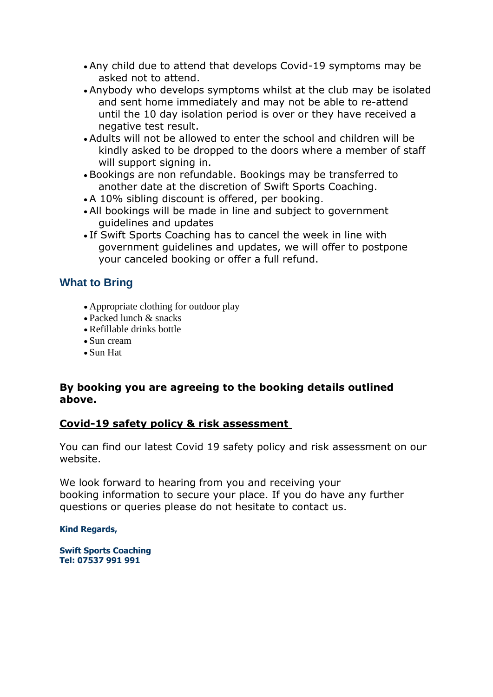- Any child due to attend that develops Covid-19 symptoms may be asked not to attend.
- Anybody who develops symptoms whilst at the club may be isolated and sent home immediately and may not be able to re-attend until the 10 day isolation period is over or they have received a negative test result.
- Adults will not be allowed to enter the school and children will be kindly asked to be dropped to the doors where a member of staff will support signing in.
- Bookings are non refundable. Bookings may be transferred to another date at the discretion of Swift Sports Coaching.
- A 10% sibling discount is offered, per booking.
- All bookings will be made in line and subject to government guidelines and updates
- If Swift Sports Coaching has to cancel the week in line with government guidelines and updates, we will offer to postpone your canceled booking or offer a full refund.

#### **What to Bring**

- Appropriate clothing for outdoor play
- Packed lunch & snacks
- Refillable drinks bottle
- Sun cream
- Sun Hat

#### **By booking you are agreeing to the booking details outlined above.**

#### **Covid-19 safety policy & risk assessment**

You can find our latest Covid 19 safety policy and risk assessment on our website.

We look forward to hearing from you and receiving your booking information to secure your place. If you do have any further questions or queries please do not hesitate to contact us.

#### **Kind Regards,**

**Swift Sports Coaching Tel: 07537 991 991**